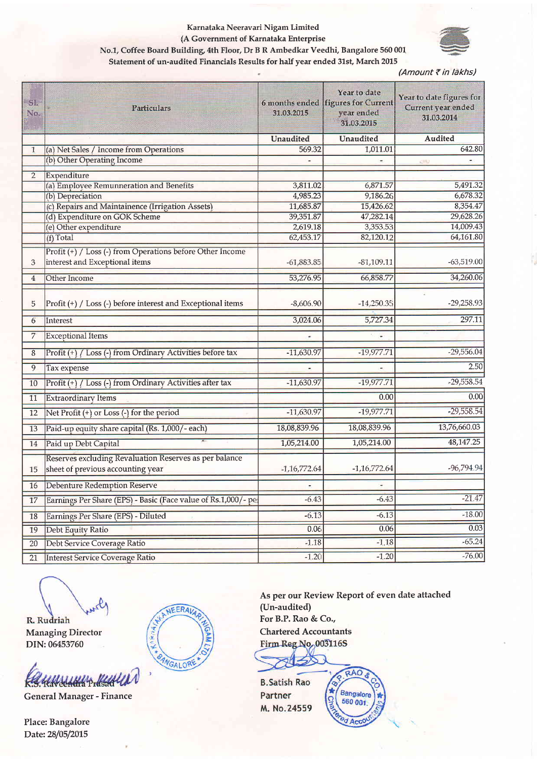## Karnataka Neeravari Nigam Limited (A Government of Karnataka Enterprise No.1, Coffee Board Building, 4th Floor, Dr B R Ambedkar Veedhi, Bangalore 560 001



Statement of un-audited Financials Results for half year ended 31st, March 2015

(Amount ₹ in lakhs)

| SI.<br>No.     | <b>Particulars</b>                                                                          | 31.03.2015     | Year to date<br>6 months ended figures for Current<br>year ended<br>31.03.2015 | Year to date figures for<br>Current year ended<br>31.03.2014 |
|----------------|---------------------------------------------------------------------------------------------|----------------|--------------------------------------------------------------------------------|--------------------------------------------------------------|
|                |                                                                                             | Unaudited      | <b>Unaudited</b>                                                               | <b>Audited</b>                                               |
| 1              | (a) Net Sales / Income from Operations                                                      | 569.32         | 1,011.01                                                                       | 642.80                                                       |
|                | (b) Other Operating Income                                                                  |                |                                                                                | cm                                                           |
| $\overline{2}$ | Expenditure                                                                                 |                |                                                                                |                                                              |
|                | (a) Employee Remunneration and Benefits                                                     | 3,811.02       | 6,871.57                                                                       | 5,491.32                                                     |
|                | (b) Depreciation                                                                            | 4,985.23       | 9,186.26                                                                       | 6,678.32                                                     |
|                | (c) Repairs and Maintainence (Irrigation Assets)                                            | 11,685.87      | 15,426.62                                                                      | 8,354.47                                                     |
|                | (d) Expenditure on GOK Scheme                                                               | 39,351.87      | 47,282.14                                                                      | 29,628.26                                                    |
|                | (e) Other expenditure                                                                       | 2,619.18       | 3,353.53                                                                       | 14,009.43                                                    |
|                | (f) Total                                                                                   | 62,453.17      | 82,120.12                                                                      | 64,161.80                                                    |
| 3              | Profit (+) / Loss (-) from Operations before Other Income<br>interest and Exceptional items | $-61,883.85$   | $-81,109.11$                                                                   | $-63,519.00$                                                 |
| $\overline{4}$ | Other Income                                                                                | 53,276.95      | 66,858.77                                                                      | 34,260.06                                                    |
|                |                                                                                             |                |                                                                                |                                                              |
| 5              | Profit (+) / Loss (-) before interest and Exceptional items                                 | $-8,606.90$    | $-14,250.35$                                                                   | $-29,258.93$                                                 |
| 6              | Interest                                                                                    | 3,024.06       | 5,727.34                                                                       | 297.11                                                       |
| 7              | <b>Exceptional Items</b>                                                                    |                |                                                                                |                                                              |
| 8              | Profit (+) / Loss (-) from Ordinary Activities before tax                                   | $-11,630.97$   | $-19,977.71$                                                                   | $-29,556.04$                                                 |
| 9              | Tax expense                                                                                 |                |                                                                                | 2.50                                                         |
| 10             | Profit (+) / Loss (-) from Ordinary Activities after tax                                    | $-11,630.97$   | $-19,977.71$                                                                   | $-29,558.54$                                                 |
| 11             | <b>Extraordinary Items</b>                                                                  |                | 0.00                                                                           | 0.00                                                         |
| 12             | Net Profit (+) or Loss (-) for the period                                                   | $-11,630.97$   | $-19,977.71$                                                                   | $-29,558.54$                                                 |
| 13             | Paid-up equity share capital (Rs. 1,000/- each)                                             | 18,08,839.96   | 18,08,839.96                                                                   | 13,76,660.03                                                 |
| 14             | Paid up Debt Capital                                                                        | 1,05,214.00    | 1,05,214.00                                                                    | 48, 147. 25                                                  |
| 15             | Reserves excluding Revaluation Reserves as per balance<br>sheet of previous accounting year | $-1,16,772.64$ | $-1,16,772.64$                                                                 | $-96,794.94$                                                 |
| 16             | Debenture Redemption Reserve                                                                |                |                                                                                |                                                              |
| 17             | Earnings Per Share (EPS) - Basic (Face value of Rs.1,000/- pel                              | $-6.43$        | $-6.43$                                                                        | $-21.47$                                                     |
| 18             | Earnings Per Share (EPS) - Diluted                                                          | $-6.13$        | $-6.13$                                                                        | $-18.00$                                                     |
| 19             | Debt Equity Ratio                                                                           | 0.06           | 0.06                                                                           | 0.03                                                         |
| 20             | Debt Service Coverage Ratio                                                                 | $-1.18$        | $-1.18$                                                                        | $-65.24$                                                     |
| 21             | <b>Interest Service Coverage Ratio</b>                                                      | $-1.20$        | $-1.20$                                                                        | $-76.00$                                                     |

R. Rudriah **Managing Director** DIN: 06453760

HANSHAHAY HAHALLAN **R** 

**General Manager - Finance** 

Place: Bangalore Date: 28/05/2015



As per our Review Report of even date attached (Un-audited) For B.P. Rao & Co., **Chartered Accountants** Firm Reg No. 003116S

**B.Satish Rao** Partner M. No.24559

RAO ø Bangalore g 560 001 <sup>e</sup>d Acco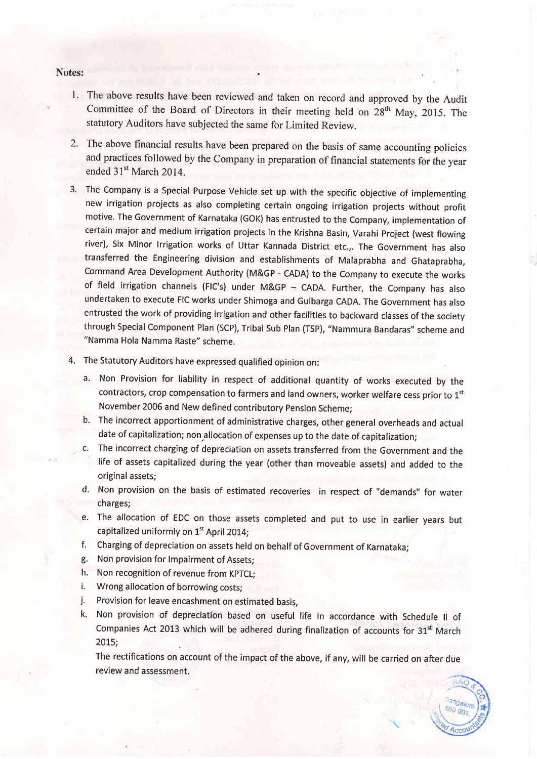#### Notes:

- 1. The above results have been reviewed and taken on record and approved by the Audit Committee of the Board of Directors in their meeting held on  $28<sup>th</sup>$  May, 2015. The statutory Auditors have subjected the same for Limited Review.
- The above financial results have been prepared on the basis of same accounting policies 2. and practices followed by the Company in preparation of financial statements for the year ended 31<sup>st</sup> March 2014.
- 3. The Company is a Special Purpose Vehicle set up with the specific objective of implementing new irrigation projects as also completing certain ongoing irrigation projects without profit motive. The Government of Karnataka (GoK) has entrusted to the Company, implementation of certain major and medium irrigation projects in the Krishna Basin, Varahi project (west flowing river), Six Minor lrrigation works of Uttar Kannada District etc.,. The Government has also transferred the Engineering division and establishments of Malaprabha and Ghataprabha, Command Area Development Authority (M&GP - CADA) to the Company to execute the works of field irrigation channels (FIC's) under M&GP - CADA. Further, the Company has also undertaken to execute FIC works under Shimoga and Gulbarga CADA. The Government has also entrusted the work of providing irrigation and other facilities to backward classes of the society through Special Component Plan (SCP), Tribal Sub Plan (TSP), "Nammura Bandaras" scheme and "Namma Hola Namma Raste" scheme.
- The Statutory Auditors have expressed qualified opinion on:
	- a. Non Provision for liability in respect of additional quantity of works executed by the contractors, crop compensation to farmers and land owners, worker welfare cess prior to 1st November 2006 and New defined contributory pension Scheme;
	- b. The incorrect apportionment of administrative charges, other general overheads and actual date of capitalization; non allocation of expenses up to the date of capitalization;
	- c. The incorrect charging of depreciation on assets transferred from the Government and the life of assets capitalized during the year (other than moveable assets) and added to the original assets;
	- d. Non provision on the basis of estimated recoveries in respect of "demands" for water charges;
	- e. The allocation of EDC on those assets completed and put to use in earlier years but capitalized uniformly on 1<sup>st</sup> April 2014;
	- f. Charging of depreciation on assets held on behalf of Government of Karnataka;
	- g. Non provision for Impairment of Assets;
	- h. Non recognition of revenue from KPTCL;
	- i. Wrong allocation of borrowing costs;
	- j. Provision for leave encashment on estimated basis,
	- k. Non provision of depreciation based on useful life in accordance with Schedule II of Companies Act 2013 which will be adhered during finalization of accounts for  $31<sup>st</sup>$  March 2015;

The rectifications on account of the impact of the above, if any, will be carried on after due review and assessment.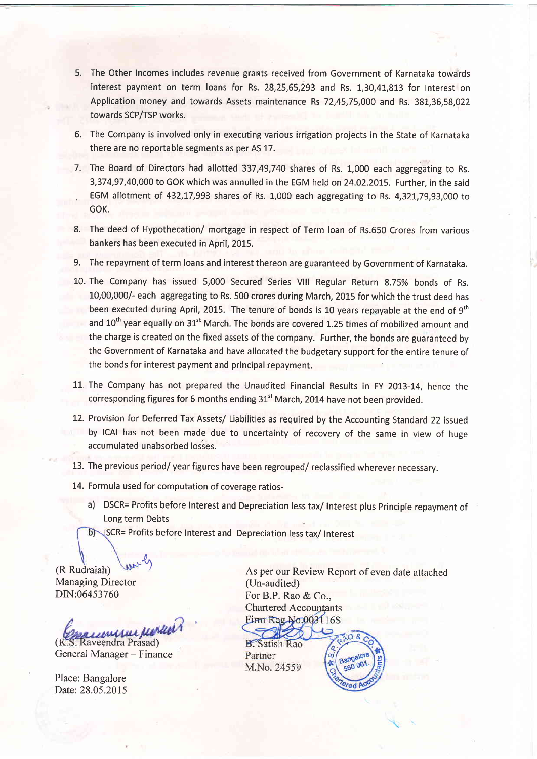- 5. The Other Incomes includes revenue grants received from Government of Karnataka towards interest payment on term loans for Rs. 28,25,55,293 and Rs. 1,30,41,813 for Interest on Application money and towards Assets maintenance Rs 72,45,75,000 and Rs. 381,36,58,022 towards SCP/TSP works.
- 6. The Company is involved only in executing various irrigation projects in the State of Karnataka there are no reportable segments as per AS 17.
- 7. The Board of Directors had allotted 337,49,740 shares of Rs. 1,000 each aggregating to Rs. 3,374,97,40,000 to GOK which was annulled in the EGM held on 24.02.2015. Further, in the said EGM allotment of 432,17,993 shares of Rs. 1,000 each aggregating to Rs. 4,321,79,93,000 to GOK.
- 8. The deed of Hypothecation/ mortgage in respect of Term loan of Rs.650 Crores from various bankers has been executed in April, 2015.
- 9. The repayment of term loans and interest thereon are guaranteed by Government of Karnataka.
- 10. The Company has issued 5,000 Secured Series Vlll Regular Return 8.75% bonds of Rs. 10,00,000/- each aggregating to Rs. 500 crores during March, 2015 for which the trust deed has been executed during April, 2015. The tenure of bonds is 10 years repayable at the end of 9<sup>th</sup> and 10<sup>th</sup> year equally on 31<sup>st</sup> March. The bonds are covered 1.25 times of mobilized amount and the charge is created on the fixed assets of the company. Further, the bonds are guaranteed by the Government of Karnataka and have allocated the budgetary support for the entire tenure of the bonds for interest payment and principal repayment
- 11. The Company has not prepared the Unaudited Financial Results in FY 2013-14, hence the corresponding figures for 6 months ending 31<sup>st</sup> March, 2014 have not been provided.
- 12. Provision for Deferred Tax Assets/ Liabilities as required by the Accounting Standard 22 issued by lCAl has not been made due to uncertainty of recovery of the same in view of huge accumulated unabsorbed losses.
- 13. The previous period/ year figures have been regrouped/ reclassified wherever necessary.
- 14. Formula used for computation of coverage ratios
	- a) DSCR= Profits before Interest and Depreciation less tax/ Interest plus Principle repayment of Long term Debts
	- CR= Profits before Interest and Depreciation less tax/ Interest

(R Rudraiah) Managing Director DIN:06453760

e*a cu*mhui *furlli*<br>Raveendra Prasad)

 $-\epsilon$ 

General Manager - Finance

Place: Bangalore Date: 28.05.2015

As per our Review Report of even date attached (Un-audited) For B.P. Rao & Co., Chartered Accounfants  $Eirm$  Reg  $N<sub>0</sub>$ 0031 16S

> **Bangalo** 560 00

**B.** Satish Rao Partner M.No. 24559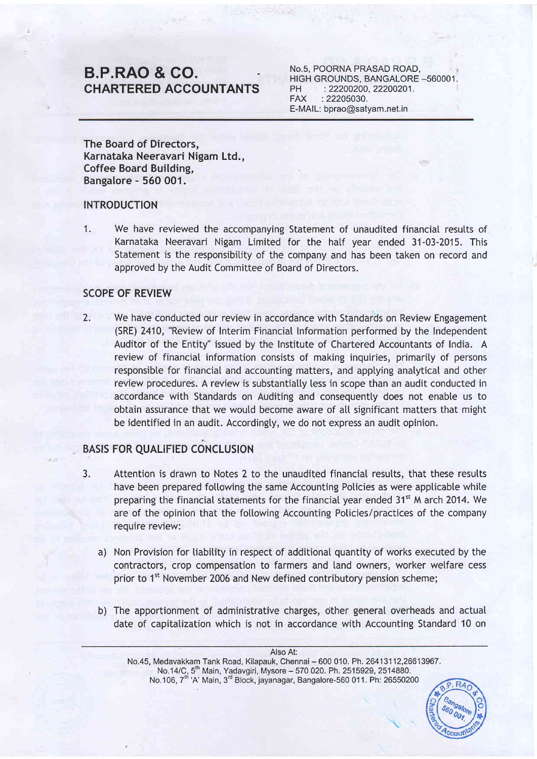# B.P.RAO & CO. GHARTERED ACCOUNTANTS

No.5, POORNA PRASAD ROAD, HIGH GROUNDS, BANGALORE -560001. PH :22200200,22200201. FAX :22205030. E-MAIL: bprao@satyam.net.in

The Board of Directors, Karnataka Neeravari Nigam Ltd., Coffee Board Building, Bangalore - 560 001.

## INTRODUCTION

1. We have reviewed the accompanying Statement of unaudited financial resutts of Karnataka Neeravari Nigam Limited for the hatf year ended 31-03-2015. This Statement is the responsibitity of the company and has been taken on record and approved by the Audit Committee of Board of Directors.

## SCOPE OF REVIEW

2. We have conducted our review in accordance with Standards on Review Engagement (SRE) 2410, "Review of Interim Financiat Information performed by the lndependent Auditor of the Entity" issued by the Institute of Chartered Accountants of India. A review of financial information consists of making inquiries, primarity of persons responsible for financial and accounting matters, and applying analytical and other review procedures. A review is substantially less in scope than an audit conducted in accordance with Standards on Auditing and consequentty does not enabte us to obtain assurance that we would become aware of all significant matters that might be identified in an audit. Accordingly, we do not express an audit opinion.

# BASIS FOR QUALIFIED CONCLUSION

- 3. Attention is drawn to Notes 2 to the unaudited financial resutts, that these resutts have been prepared following the same Accounting Policies as were applicable while preparing the financial statements for the financial year ended 31<sup>st</sup> M arch 2014. We are of the opinion that the following Accounting Policies/practices of the company require review:
	- a) Non Provision for liability in respect of additional quantity of works executed by the contractors, crop compensation to farmers and land owners, worker welfare cess prior to 1<sup>st</sup> November 2006 and New defined contributory pension scheme;
	- b) The apportionment of administrative charges, other general overheads and actual date of capitatization which is not in accordance with Accounting Standard 10 on

Also At: No.45, Medavakkam Tank Road, Kilapauk, Chennai - 600 010. Ph.26413112,26613967. No.14/C, 5<sup>th</sup> Main, Yadavgiri, Mysore – 570 020. Ph. 2515929, 2514880. No.106, 7<sup>m</sup> 'A' Main, 3<sup>rd</sup> Block, jayanagar, Bangalore-560 011. Ph: 26550200

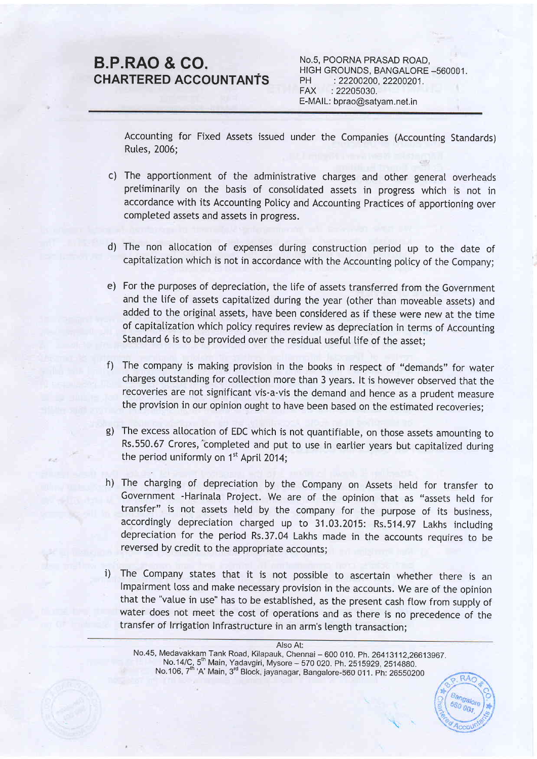# B.P.RAO & GO. CHARTERED ACCOUNTANfS

No.S, POORNA PRASAD ROAD. HIGH GROUNDS, BANGALORE \_560001. PH : 22200200, 22200201. FAX :22205030. E-MAIL: bprao@satyam.net.in

Accounting for Fixed Assets issued under the Companies (Accounting Standards) Rutes, 2006;

- c) The apportionment of the administrative charges and other general overheads preliminarity on the basis of consotidated assets in progress which is not in accordance with its Accounting Poticy and Accounting Practices of apportioning over compteted assets and assets in progress.
- d) The non allocation of expenses during construction period up to the date of capitalization which is not in accordance with the Accounting poticy of the Company;
- e) For the purposes of depreciation, the life of assets transferred from the Government and the tife of assets capitatized during the year (other than moveabte assets) and added to the originat assets, have been considered as if these were new at the time of capitatization which poticy requires review as depreciation in terms of Accounting standard 6 is to be provided over the residual useful tife of the asset:
- The company is making provision in the books in respect of "demands" for water f) charges outstanding for collection more than 3 years. It is however observed that the recoveries are not significant vis-a-vis the demand and hence as a prudent measure the provision in our opinion ought to have been based on the estimated recoveries:
- g) The excess allocation of EDC which is not quantifiable, on those assets amounting to Rs.550.67 Crores, completed and put to use in earlier years but capitalized during the period uniformly on  $1<sup>st</sup>$  April 2014;
- h) The charging of depreciation by the Company on Assets held for transfer to Government -Harinata Project. We are of the opinion that as "assets hetd for transfer" is not assets hetd by the company for the purpose of its business, accordingty depreciation charged up to 31.03.2015: Rs.514.97 Lakhs inctuding depreciation for the period Rs.37.04 Lakhs made in the accounts requires to be reversed by credit to the appropriate accounts;
- The Company states that it is not possibte to ascertain whether there is an lmpairment loss and make necessary provision in the accounts. We are of the opinion that the "value in use" has to be estabtished, as the present cash ftow from suppty of water does not meet the cost of operations and as there is no precedence of the transfer of lrrigation Infrastructure in an arm's tength transaction; i)

AIso At:

No.45, Medavakkam Tank Road, Kilapauk, Chennai – 600 010. Ph. 26413112,26613967.<br>No.14/C, 5<sup>th</sup> Main, Yadavgiri, Mysore – 570 020. Ph. 2515929, 2514880.<br>No.106, 7<sup>th</sup> 'A' Main, 3<sup>rd</sup> Block, jayanagar, Bangalore-560 011. Ph